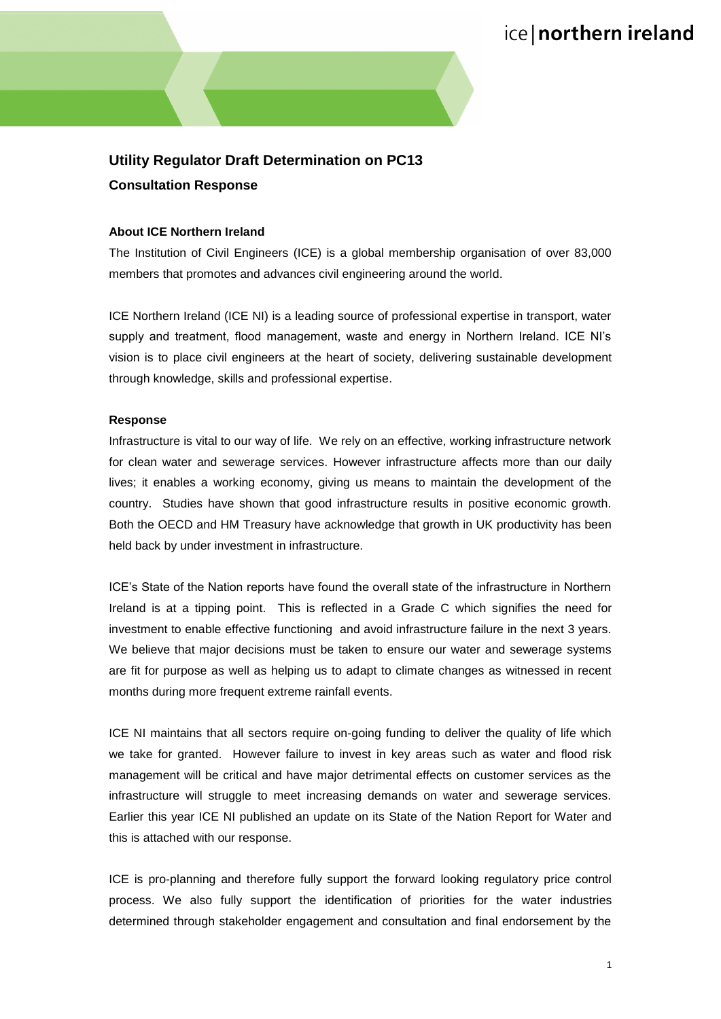# ice | northern ireland

### **Utility Regulator Draft Determination on PC13 Consultation Response**

### **About ICE Northern Ireland**

The Institution of Civil Engineers (ICE) is a global membership organisation of over 83,000 members that promotes and advances civil engineering around the world.

ICE Northern Ireland (ICE NI) is a leading source of professional expertise in transport, water supply and treatment, flood management, waste and energy in Northern Ireland. ICE NI's vision is to place civil engineers at the heart of society, delivering sustainable development through knowledge, skills and professional expertise.

#### **Response**

Infrastructure is vital to our way of life. We rely on an effective, working infrastructure network for clean water and sewerage services. However infrastructure affects more than our daily lives; it enables a working economy, giving us means to maintain the development of the country. Studies have shown that good infrastructure results in positive economic growth. Both the OECD and HM Treasury have acknowledge that growth in UK productivity has been held back by under investment in infrastructure.

ICE's State of the Nation reports have found the overall state of the infrastructure in Northern Ireland is at a tipping point. This is reflected in a Grade C which signifies the need for investment to enable effective functioning and avoid infrastructure failure in the next 3 years. We believe that major decisions must be taken to ensure our water and sewerage systems are fit for purpose as well as helping us to adapt to climate changes as witnessed in recent months during more frequent extreme rainfall events.

ICE NI maintains that all sectors require on-going funding to deliver the quality of life which we take for granted. However failure to invest in key areas such as water and flood risk management will be critical and have major detrimental effects on customer services as the infrastructure will struggle to meet increasing demands on water and sewerage services. Earlier this year ICE NI published an update on its State of the Nation Report for Water and this is attached with our response.

ICE is pro-planning and therefore fully support the forward looking regulatory price control process. We also fully support the identification of priorities for the water industries determined through stakeholder engagement and consultation and final endorsement by the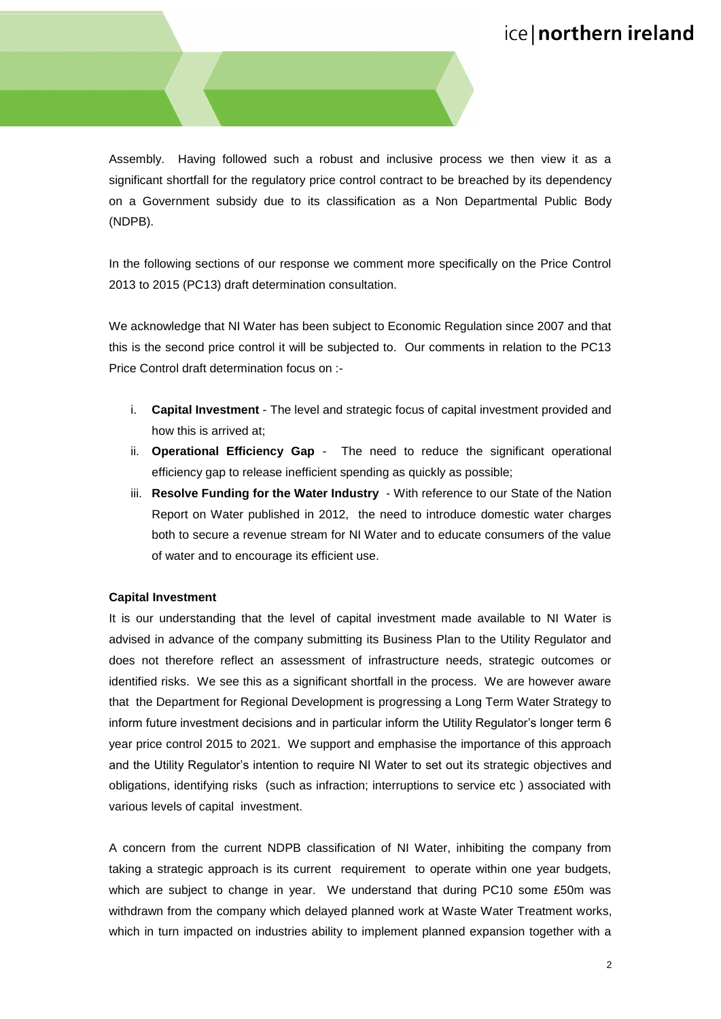## ice | northern ireland

Assembly. Having followed such a robust and inclusive process we then view it as a significant shortfall for the regulatory price control contract to be breached by its dependency on a Government subsidy due to its classification as a Non Departmental Public Body (NDPB).

In the following sections of our response we comment more specifically on the Price Control 2013 to 2015 (PC13) draft determination consultation.

We acknowledge that NI Water has been subject to Economic Regulation since 2007 and that this is the second price control it will be subjected to. Our comments in relation to the PC13 Price Control draft determination focus on :-

- i. **Capital Investment** The level and strategic focus of capital investment provided and how this is arrived at;
- ii. **Operational Efficiency Gap** The need to reduce the significant operational efficiency gap to release inefficient spending as quickly as possible;
- iii. **Resolve Funding for the Water Industry** With reference to our State of the Nation Report on Water published in 2012, the need to introduce domestic water charges both to secure a revenue stream for NI Water and to educate consumers of the value of water and to encourage its efficient use.

#### **Capital Investment**

It is our understanding that the level of capital investment made available to NI Water is advised in advance of the company submitting its Business Plan to the Utility Regulator and does not therefore reflect an assessment of infrastructure needs, strategic outcomes or identified risks. We see this as a significant shortfall in the process. We are however aware that the Department for Regional Development is progressing a Long Term Water Strategy to inform future investment decisions and in particular inform the Utility Regulator's longer term 6 year price control 2015 to 2021. We support and emphasise the importance of this approach and the Utility Regulator's intention to require NI Water to set out its strategic objectives and obligations, identifying risks (such as infraction; interruptions to service etc ) associated with various levels of capital investment.

A concern from the current NDPB classification of NI Water, inhibiting the company from taking a strategic approach is its current requirement to operate within one year budgets, which are subject to change in year. We understand that during PC10 some £50m was withdrawn from the company which delayed planned work at Waste Water Treatment works, which in turn impacted on industries ability to implement planned expansion together with a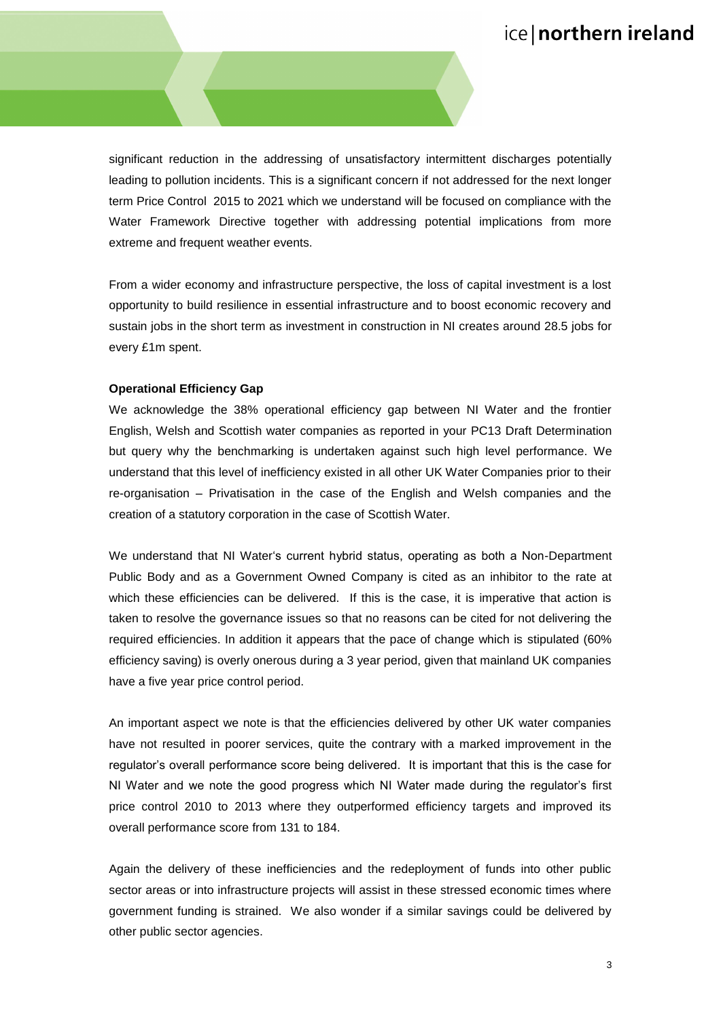### ice | northern ireland

significant reduction in the addressing of unsatisfactory intermittent discharges potentially leading to pollution incidents. This is a significant concern if not addressed for the next longer term Price Control 2015 to 2021 which we understand will be focused on compliance with the Water Framework Directive together with addressing potential implications from more extreme and frequent weather events.

From a wider economy and infrastructure perspective, the loss of capital investment is a lost opportunity to build resilience in essential infrastructure and to boost economic recovery and sustain jobs in the short term as investment in construction in NI creates around 28.5 jobs for every £1m spent.

#### **Operational Efficiency Gap**

We acknowledge the 38% operational efficiency gap between NI Water and the frontier English, Welsh and Scottish water companies as reported in your PC13 Draft Determination but query why the benchmarking is undertaken against such high level performance. We understand that this level of inefficiency existed in all other UK Water Companies prior to their re-organisation – Privatisation in the case of the English and Welsh companies and the creation of a statutory corporation in the case of Scottish Water.

We understand that NI Water's current hybrid status, operating as both a Non-Department Public Body and as a Government Owned Company is cited as an inhibitor to the rate at which these efficiencies can be delivered. If this is the case, it is imperative that action is taken to resolve the governance issues so that no reasons can be cited for not delivering the required efficiencies. In addition it appears that the pace of change which is stipulated (60% efficiency saving) is overly onerous during a 3 year period, given that mainland UK companies have a five year price control period.

An important aspect we note is that the efficiencies delivered by other UK water companies have not resulted in poorer services, quite the contrary with a marked improvement in the regulator's overall performance score being delivered. It is important that this is the case for NI Water and we note the good progress which NI Water made during the regulator's first price control 2010 to 2013 where they outperformed efficiency targets and improved its overall performance score from 131 to 184.

Again the delivery of these inefficiencies and the redeployment of funds into other public sector areas or into infrastructure projects will assist in these stressed economic times where government funding is strained. We also wonder if a similar savings could be delivered by other public sector agencies.